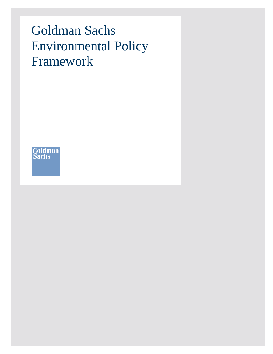# Goldman Sachs Environmental Policy Framework

Goldman<br>Sachs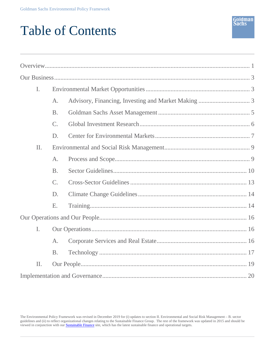# Table of Contents

| $\mathbf{I}$ . |                |  |  |  |  |  |
|----------------|----------------|--|--|--|--|--|
|                | A.             |  |  |  |  |  |
|                | B.             |  |  |  |  |  |
|                | $\mathsf{C}$ . |  |  |  |  |  |
|                | D.             |  |  |  |  |  |
| $\Pi$ .        |                |  |  |  |  |  |
|                | A.             |  |  |  |  |  |
|                | B.             |  |  |  |  |  |
|                | $\mathsf{C}$ . |  |  |  |  |  |
|                | D.             |  |  |  |  |  |
|                | Ε.             |  |  |  |  |  |
|                |                |  |  |  |  |  |
| $\mathbf{I}$ . |                |  |  |  |  |  |
|                | A.             |  |  |  |  |  |
|                | <b>B.</b>      |  |  |  |  |  |
| $\prod$ .      |                |  |  |  |  |  |
|                |                |  |  |  |  |  |

Goldman Sachs

The Environmental Policy Framework was revised in December 2019 for (i) updates to section II. Environmental and Social Risk Management – B. sector guidelines and (ii) to reflect organizational changes relating to the Sustainable Finance Group. The rest of the framework was updated in 2015 and should be viewed in conjunction with ou[r Sustainable Finance](https://www.goldmansachs.com/what-we-do/sustainable-finance/) site, which has the latest sustainable finance and operational targets.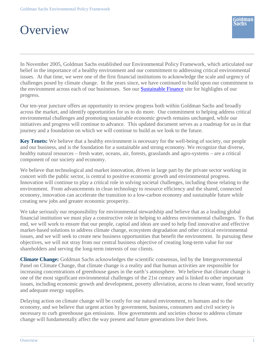# <span id="page-2-0"></span>**Overview**

In November 2005, Goldman Sachs established our Environmental Policy Framework, which articulated our belief in the importance of a healthy environment and our commitment to addressing critical environmental issues. At that time, we were one of the first financial institutions to acknowledge the scale and urgency of challenges posed by climate change. In the years since, we have continued to build upon our commitment to the environment across each of our businesses. See our [Sustainable](https://www.goldmansachs.com/what-we-do/sustainable-finance/) Finance site for highlights of our progress.

Our ten-year juncture offers an opportunity to review progress both within Goldman Sachs and broadly across the market, and identify opportunities for us to do more. Our commitment to helping address critical environmental challenges and promoting sustainable economic growth remains unchanged, while our initiatives and progress will continue to advance. This updated document serves as a roadmap for us in that journey and a foundation on which we will continue to build as we look to the future.

**Key Tenets:** We believe that a healthy environment is necessary for the well-being of society, our people and our business, and is the foundation for a sustainable and strong economy. We recognize that diverse, healthy natural resources – fresh water, oceans, air, forests, grasslands and agro-systems – are a critical component of our society and economy.

We believe that technological and market innovation, driven in large part by the private sector working in concert with the public sector, is central to positive economic growth and environmental progress. Innovation will continue to play a critical role in solving societal challenges, including those relating to the environment. From advancements in clean technology to resource efficiency and the shared, connected economy, innovation can accelerate the transition to a low-carbon economy and sustainable future while creating new jobs and greater economic prosperity.

We take seriously our responsibility for environmental stewardship and believe that as a leading global financial institution we must play a constructive role in helping to address environmental challenges. To that end, we will work to ensure that our people, capital and ideas are used to help find innovative and effective market-based solutions to address climate change, ecosystem degradation and other critical environmental issues, and we will seek to create new business opportunities that benefit the environment. In pursuing these objectives, we will not stray from our central business objective of creating long-term value for our shareholders and serving the long-term interests of our clients.

**Climate Change:** Goldman Sachs acknowledges the scientific consensus, led by the Intergovernmental Panel on Climate Change, that climate change is a reality and that human activities are responsible for increasing concentrations of greenhouse gases in the earth's atmosphere. We believe that climate change is one of the most significant environmental challenges of the 21st century and is linked to other important issues, including economic growth and development, poverty alleviation, access to clean water, food security and adequate energy supplies.

Delaying action on climate change will be costly for our natural environment, to humans and to the economy, and we believe that urgent action by government, business, consumers and civil society is necessary to curb greenhouse gas emissions. How governments and societies choose to address climate change will fundamentally affect the way present and future generations live their lives.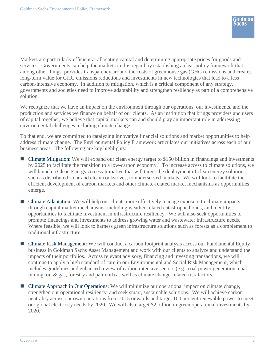Markets are particularly efficient at allocating capital and determining appropriate prices for goods and services. Governments can help the markets in this regard by establishing a clear policy framework that, among other things, provides transparency around the costs of greenhouse gas (GHG) emissions and creates long-term value for GHG emissions reductions and investments in new technologies that lead to a less carbon-intensive economy. In addition to mitigation, which is a critical component of any strategy, governments and societies need to improve adaptability and strengthen resiliency as part of a comprehensive solution.

We recognize that we have an impact on the environment through our operations, our investments, and the production and services we finance on behalf of our clients. As an institution that brings providers and users of capital together, we believe that capital markets can and should play an important role in addressing environmental challenges including climate change.

To that end, we are committed to catalyzing innovative financial solutions and market opportunities to help address climate change. The Environmental Policy Framework articulates our initiatives across each of our business areas. The following are key highlights:

- <span id="page-3-0"></span> Climate Mitigation: We will expand our clean energy target to \$150 billion in financings and investments by 2025 to facilitate the transition to a low-carbon economy.<sup>i</sup> To increase access to climate solutions, we will launch a Clean Energy Access Initiative that will target the deployment of clean energy solutions, such as distributed solar and clean cookstoves, to underserved markets. We will look to facilitate the efficient development of carbon markets and other climate-related market mechanisms as opportunities emerge.
- Climate Adaptation: We will help our clients more effectively manage exposure to climate impacts through capital market mechanisms, including weather-related catastrophe bonds, and identify opportunities to facilitate investment in infrastructure resiliency. We will also seek opportunities to promote financings and investments to address growing water and wastewater infrastructure needs. Where feasible, we will look to harness green infrastructure solutions such as forests as a complement to traditional infrastructure.
- **E** Climate Risk Management: We will conduct a carbon footprint analysis across our Fundamental Equity business in Goldman Sachs Asset Management and work with our clients to analyze and understand the impacts of their portfolios. Across relevant advisory, financing and investing transactions, we will continue to apply a high standard of care in our Environmental and Social Risk Management, which includes guidelines and enhanced review of carbon intensive sectors (e.g., coal power generation, coal mining, oil & gas, forestry and palm oil) as well as climate change-related risk factors.
- Climate Approach in Our Operations: We will minimize our operational impact on climate change, strengthen our operational resiliency, and seek smart, sustainable solutions. We will achieve carbon neutrality across our own operations from 2015 onwards and target 100 percent renewable power to meet our global electricity needs by 2020. We will also target \$2 billion in green operational investments by 2020.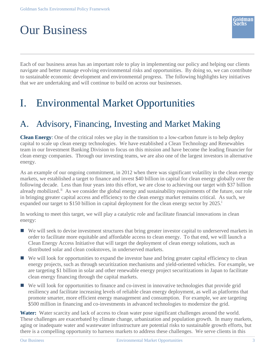<span id="page-4-0"></span>

Each of our business areas has an important role to play in implementing our policy and helping our clients navigate and better manage evolving environmental risks and opportunities. By doing so, we can contribute to sustainable economic development and environmental progress. The following highlights key initiatives that we are undertaking and will continue to build on across our businesses.

## <span id="page-4-1"></span>I. Environmental Market Opportunities

### <span id="page-4-2"></span>A. Advisory, Financing, Investing and Market Making

**Clean Energy**: One of the critical roles we play in the transition to a low-carbon future is to help deploy capital to scale up clean energy technologies. We have established a Clean Technology and Renewables team in our Investment Banking Division to focus on this mission and have become the leading financier for clean energy companies. Through our investing teams, we are also one of the largest investors in alternative energy.

As an example of our ongoing commitment, in 2012 when there was significant volatility in the clean energy markets, we established a target to finance and invest \$40 billion in capital for clean energy globally over the following decade. Less than four years into this effort, we are close to achieving our target with \$37 billion already mobilized.<sup>ii</sup> As we consider the global energy and sustainability requirements of the future, our role in bringing greater capital access and efficiency to the clean energy market remains critical. As such, we expanded our target to \$150 billion in capital deployment for the clean energy sector by 2025[.](#page-3-0)<sup>i</sup>

In working to meet this target, we will play a catalytic role and facilitate financial innovations in clean energy:

- We will seek to devise investment structures that bring greater investor capital to underserved markets in order to facilitate more equitable and affordable access to clean energy. To that end, we will launch a Clean Energy Access Initiative that will target the deployment of clean energy solutions, such as distributed solar and clean cookstoves, in underserved markets.
- We will look for opportunities to expand the investor base and bring greater capital efficiency to clean energy projects, such as through securitization mechanisms and yield-oriented vehicles. For example, we are targeting \$1 billion in solar and other renewable energy project securitizations in Japan to facilitate clean energy financing through the capital markets.
- We will look for opportunities to finance and co-invest in innovative technologies that provide grid resiliency and facilitate increasing levels of reliable clean energy deployment, as well as platforms that promote smarter, more efficient energy management and consumption. For example, we are targeting \$500 million in financing and co-investments in advanced technologies to modernize the grid.

**Water:** Water scarcity and lack of access to clean water pose significant challenges around the world. These challenges are exacerbated by climate change, urbanization and population growth. In many markets, aging or inadequate water and wastewater infrastructure are potential risks to sustainable growth efforts, but there is a compelling opportunity to harness markets to address these challenges. We serve clients in this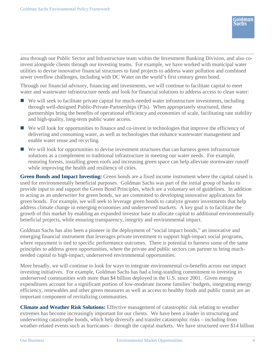area through our Public Sector and Infrastructure team within the Investment Banking Division, and also coinvest alongside clients through our investing teams. For example, we have worked with municipal water utilities to devise innovative financial structures to fund projects to address water pollution and combined sewer overflow challenges, including with DC Water on the world's first century green bond.

Through our financial advisory, financing and investments, we will continue to facilitate capital to meet water and wastewater infrastructure needs and look for financial solutions to address access to clean water:

- We will seek to facilitate private capital for much-needed water infrastructure investments, including through well-designed Public-Private-Partnerships (P3s). When appropriately structured, these partnerships bring the benefits of operational efficiency and economies of scale, facilitating rate stability and high-quality, long-term public water access.
- We will look for opportunities to finance and co-invest in technologies that improve the efficiency of delivering and consuming water, as well as technologies that enhance wastewater management and enable water reuse and recycling.
- We will look for opportunities to devise investment structures that can harness green infrastructure solutions as a complement to traditional infrastructure in meeting our water needs. For example, restoring forests, installing green roofs and increasing green space can help alleviate stormwater runoff while improving the health and resiliency of cities.

**Green Bonds and Impact Investing:** Green bonds are a fixed income instrument where the capital raised is used for environmentally beneficial purposes. Goldman Sachs was part of the initial group of banks to provide input to and support the Green Bond Principles, which are a voluntary set of guidelines. In addition to acting as an underwriter for green bonds, we are committed to developing innovative applications for green bonds. For example, we will seek to leverage green bonds to catalyze greater investments that help address climate change in emerging economies and underserved markets. A key goal is to facilitate the growth of this market by enabling an expanded investor base to allocate capital to additional environmentally beneficial projects, while ensuring transparency, integrity and environmental impact.

Goldman Sachs has also been a pioneer in the deployment of "social impact bonds," an innovative and emerging financial instrument that leverages private investment to support high-impact social programs, where repayment is tied to specific performance outcomes. There is potential to harness some of the same principles to address green opportunities, where the private and public sectors can partner to bring muchneeded capital to high-impact, underserved environmental opportunities.

More broadly, we will continue to look for ways to integrate environmental co-benefits across our impact investing initiatives. For example, Goldman Sachs has had a long-standing commitment to investing in underserved communities with more than \$4 billion deployed in the U.S. since 2001. Given energy expenditures account for a significant portion of low-moderate income families' budgets, integrating energy efficiency, renewables and other green measures as well as access to healthy foods and public transit are an important component of revitalizing communities.

**Climate and Weather Risk Solutions:** Effective management of catastrophic risk relating to weather extremes has become increasingly important for our clients. We have been a leader in structuring and underwriting catastrophe bonds, which help diversify and transfer catastrophic risks – including from weather-related events such as hurricanes – through the capital markets. We have structured over \$14 billion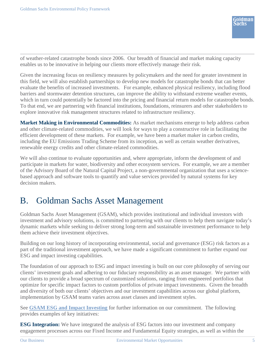of weather-related catastrophe bonds since 2006. Our breadth of financial and market making capacity enables us to be innovative in helping our clients more effectively manage their risk.

Given the increasing focus on resiliency measures by policymakers and the need for greater investment in this field, we will also establish partnerships to develop new models for catastrophe bonds that can better evaluate the benefits of increased investments. For example, enhanced physical resiliency, including flood barriers and stormwater detention structures, can improve the ability to withstand extreme weather events, which in turn could potentially be factored into the pricing and financial return models for catastrophe bonds. To that end, we are partnering with financial institutions, foundations, reinsurers and other stakeholders to explore innovative risk management structures related to infrastructure resiliency.

**Market Making in Environmental Commodities:** As market mechanisms emerge to help address carbon and other climate-related commodities, we will look for ways to play a constructive role in facilitating the efficient development of these markets. For example, we have been a market maker in carbon credits, including the EU Emissions Trading Scheme from its inception, as well as certain weather derivatives, renewable energy credits and other climate-related commodities.

We will also continue to evaluate opportunities and, where appropriate, inform the development of and participate in markets for water, biodiversity and other ecosystem services. For example, we are a member of the Advisory Board of the Natural Capital Project, a non-governmental organization that uses a sciencebased approach and software tools to quantify and value services provided by natural systems for key decision makers.

#### <span id="page-6-0"></span>B. Goldman Sachs Asset Management

Goldman Sachs Asset Management (GSAM), which provides institutional and individual investors with investment and advisory solutions, is committed to partnering with our clients to help them navigate today's dynamic markets while seeking to deliver strong long-term and sustainable investment performance to help them achieve their investment objectives.

Building on our long history of incorporating environmental, social and governance (ESG) risk factors as a part of the traditional investment approach, we have made a significant commitment to further expand our ESG and impact investing capabilities.

The foundation of our approach to ESG and impact investing is built on our core philosophy of serving our clients' investment goals and adhering to our fiduciary responsibility as an asset manager. We partner with our clients to provide a broad spectrum of customized solutions, ranging from engineered portfolios that optimize for specific impact factors to custom portfolios of private impact investments. Given the breadth and diversity of both our clients' objectives and our investment capabilities across our global platform, implementation by GSAM teams varies across asset classes and investment styles.

See **[GSAM ESG and Impact Investing](https://assetmanagement.gs.com/content/gsam/us/en/advisors/our-firm/citizenship.html)** for further information on our commitment. The following provides examples of key initiatives:

**ESG Integration:** We have integrated the analysis of ESG factors into our investment and company engagement processes across our Fixed Income and Fundamental Equity strategies, as well as within the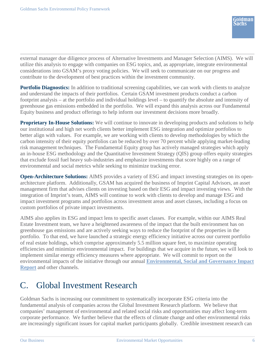external manager due diligence process of Alternative Investments and Manager Selection (AIMS). We will utilize this analysis to engage with companies on ESG topics, and, as appropriate, integrate environmental considerations into GSAM's proxy voting policies. We will seek to communicate on our progress and contribute to the development of best practices within the investment community.

**Portfolio Diagnostics:** In addition to traditional screening capabilities, we can work with clients to analyze and understand the impacts of their portfolios. Certain GSAM investment products conduct a carbon footprint analysis – at the portfolio and individual holdings level – to quantify the absolute and intensity of greenhouse gas emissions embedded in the portfolio. We will expand this analysis across our Fundamental Equity business and product offerings to help inform our investment decisions more broadly.

**Proprietary In-House Solutions:** We will continue to innovate in developing products and solutions to help our institutional and high net worth clients better implement ESG integration and optimize portfolios to better align with values. For example, we are working with clients to develop methodologies by which the carbon intensity of their equity portfolios can be reduced by over 70 percent while applying market-leading risk management techniques. The Fundamental Equity group has actively managed strategies which apply an in-house ESG methodology and the Quantitative Investment Strategy (QIS) group offers equity strategies that exclude fossil fuel heavy sub-industries and emphasize investments that score highly on a range of environmental and social metrics while seeking to minimize tracking error.

**Open-Architecture Solutions:** AIMS provides a variety of ESG and impact investing strategies on its openarchitecture platform. Additionally, GSAM has acquired the business of Imprint Capital Advisors, an asset management firm that advises clients on investing based on their ESG and impact investing views. With the integration of Imprint's team, AIMS will continue to work with clients to develop and manage ESG and impact investment programs and portfolios across investment areas and asset classes, including a focus on custom portfolios of private impact investments.

AIMS also applies its ESG and impact lens to specific asset classes. For example, within our AIMS Real Estate Investment team, we have a heightened awareness of the impact that the built environment has on greenhouse gas emissions and are actively seeking ways to reduce the footprint of the properties in the portfolio. To that end, we have launched a strategic energy efficiency initiative across our current portfolio of real estate holdings, which comprise approximately 5.5 million square feet, to maximize operating efficiencies and minimize environmental impact. For buildings that we acquire in the future, we will look to implement similar energy efficiency measures where appropriate. We will commit to report on the environmental impacts of the initiative through our annual **[Environmental, Social and Governance Impact](http://www.goldmansachs.com/s/esg-impact/)  [Report](http://www.goldmansachs.com/s/esg-impact/)** and other channels.

### <span id="page-7-0"></span>C. Global Investment Research

Goldman Sachs is increasing our commitment to systematically incorporate ESG criteria into the fundamental analysis of companies across the Global Investment Research platform. We believe that companies' management of environmental and related social risks and opportunities may affect long-term corporate performance. We further believe that the effects of climate change and other environmental risks are increasingly significant issues for capital market participants globally. Credible investment research can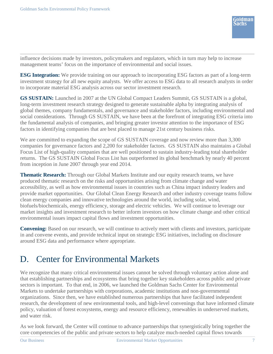influence decisions made by investors, policymakers and regulators, which in turn may help to increase management teams' focus on the importance of environmental and social issues.

**ESG Integration:** We provide training on our approach to incorporating ESG factors as part of a long-term investment strategy for all new equity analysts. We offer access to ESG data to all research analysts in order to incorporate material ESG analysis across our sector investment research.

**GS SUSTAIN:** Launched in 2007 at the UN Global Compact Leaders Summit, GS SUSTAIN is a global, long-term investment research strategy designed to generate sustainable alpha by integrating analysis of global themes, company fundamentals, and governance and stakeholder factors, including environmental and social considerations. Through GS SUSTAIN, we have been at the forefront of integrating ESG criteria into the fundamental analysis of companies, and bringing greater investor attention to the importance of ESG factors in identifying companies that are best placed to manage 21st century business risks.

We are committed to expanding the scope of GS SUSTAIN coverage and now review more than 3,300 companies for governance factors and 2,200 for stakeholder factors. GS SUSTAIN also maintains a Global Focus List of high-quality companies that are well positioned to sustain industry-leading total shareholder returns. The GS SUSTAIN Global Focus List has outperformed its global benchmark by nearly 40 percent from inception in June 2007 through year end 2014.

**Thematic Research:** Through our Global Markets Institute and our equity research teams, we have produced thematic research on the risks and opportunities arising from climate change and water accessibility, as well as how environmental issues in countries such as China impact industry leaders and provide market opportunities. Our Global Clean Energy Research and other industry coverage teams follow clean energy companies and innovative technologies around the world, including solar, wind, biofuels/biochemicals, energy efficiency, storage and electric vehicles. We will continue to leverage our market insights and investment research to better inform investors on how climate change and other critical environmental issues impact capital flows and investment opportunities.

**Convening:** Based on our research, we will continue to actively meet with clients and investors, participate in and convene events, and provide technical input on strategic ESG initiatives, including on disclosure around ESG data and performance where appropriate.

### <span id="page-8-0"></span>D. Center for Environmental Markets

We recognize that many critical environmental issues cannot be solved through voluntary action alone and that establishing partnerships and ecosystems that bring together key stakeholders across public and private sectors is important. To that end, in 2006, we launched the Goldman Sachs Center for Environmental Markets to undertake partnerships with corporations, academic institutions and non-governmental organizations. Since then, we have established numerous partnerships that have facilitated independent research, the development of new environmental tools, and high-level convenings that have informed climate policy, valuation of forest ecosystems, energy and resource efficiency, renewables in underserved markets, and water risk.

As we look forward, the Center will continue to advance partnerships that synergistically bring together the core competencies of the public and private sectors to help catalyze much-needed capital flows towards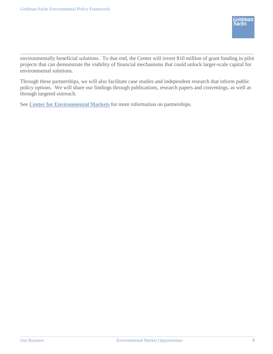environmentally beneficial solutions. To that end, the Center will invest \$10 million of grant funding in pilot projects that can demonstrate the viability of financial mechanisms that could unlock larger-scale capital for environmental solutions.

Through these partnerships, we will also facilitate case studies and independent research that inform public policy options. We will share our findings through publications, research papers and convenings, as well as through targeted outreach.

See **[Center for Environmental Markets](http://www.goldmansachs.com/citizenship/environmental-stewardship-and-sustainability/environmental-markets/center-for-environmental-markets.html)** for more information on partnerships.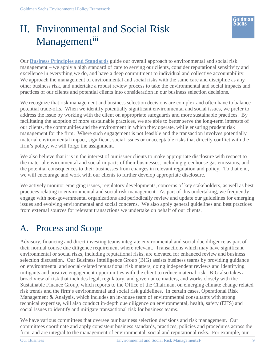## <span id="page-10-0"></span>II. Environmental and Social Risk Management<sup>iii</sup>

Our **[Business Principles and Standards](http://www.goldmansachs.com/who-we-are/business-standards/index.html)** guide our overall approach to environmental and social risk management – we apply a high standard of care to serving our clients, consider reputational sensitivity and excellence in everything we do, and have a deep commitment to individual and collective accountability. We approach the management of environmental and social risks with the same care and discipline as any other business risk, and undertake a robust review process to take the environmental and social impacts and practices of our clients and potential clients into consideration in our business selection decisions.

We recognize that risk management and business selection decisions are complex and often have to balance potential trade-offs. When we identify potentially significant environmental and social issues, we prefer to address the issue by working with the client on appropriate safeguards and more sustainable practices. By facilitating the adoption of more sustainable practices, we are able to better serve the long-term interests of our clients, the communities and the environment in which they operate, while ensuring prudent risk management for the firm. Where such engagement is not feasible and the transaction involves potentially material environmental impact, significant social issues or unacceptable risks that directly conflict with the firm's policy, we will forgo the assignment.

We also believe that it is in the interest of our issuer clients to make appropriate disclosure with respect to the material environmental and social impacts of their businesses, including greenhouse gas emissions, and the potential consequences to their businesses from changes in relevant regulation and policy. To that end, we will encourage and work with our clients to further develop appropriate disclosure.

We actively monitor emerging issues, regulatory developments, concerns of key stakeholders, as well as best practices relating to environmental and social risk management. As part of this undertaking, we frequently engage with non-governmental organizations and periodically review and update our guidelines for emerging issues and evolving environmental and social concerns. We also apply general guidelines and best practices from external sources for relevant transactions we undertake on behalf of our clients.

## <span id="page-10-1"></span>A. Process and Scope

Advisory, financing and direct investing teams integrate environmental and social due diligence as part of their normal course due diligence requirement where relevant. Transactions which may have significant environmental or social risks, including reputational risks, are elevated for enhanced review and business selection discussion. Our Business Intelligence Group (BIG) assists business teams by providing guidance on environmental and social-related reputational risk matters, doing independent reviews and identifying mitigants and positive engagement opportunities with the client to reduce material risk. BIG also takes a broad view of risk that includes legal, regulatory, and governance matters, and works closely with the Sustainable Finance Group, which reports to the Office of the Chairman, on emerging climate change related risk trends and the firm's environmental and social risk guidelines. In certain cases, Operational Risk Management & Analysis, which includes an in-house team of environmental consultants with strong technical expertise, will also conduct in-depth due diligence on environmental, health, safety (EHS) and social issues to identify and mitigate transactional risk for business teams.

We have various committees that oversee our business selection decisions and risk management. Our committees coordinate and apply consistent business standards, practices, policies and procedures across the firm, and are integral to the management of environmental, social and reputational risks. For example, our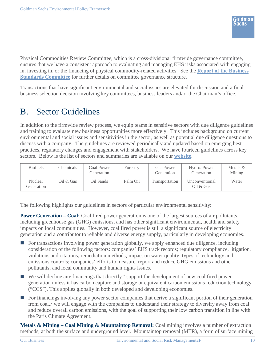Physical Commodities Review Committee, which is a cross-divisional firmwide governance committee, ensures that we have a consistent approach to evaluating and managing EHS risks associated with engaging in, investing in, or the financing of physical commodity-related activities. See the **[Report of the Business](http://www.goldmansachs.com/who-we-are/business-standards/committee-report/business-standards-committee-report.html)  [Standards Committee](http://www.goldmansachs.com/who-we-are/business-standards/committee-report/business-standards-committee-report.html)** for further details on committee governance structure.

Transactions that have significant environmental and social issues are elevated for discussion and a final business selection decision involving key committees, business leaders and/or the Chairman's office.

#### <span id="page-11-0"></span>B. Sector Guidelines

In addition to the firmwide review process, we equip teams in sensitive sectors with due diligence guidelines and training to evaluate new business opportunities more effectively. This includes background on current environmental and social issues and sensitivities in the sector, as well as potential due diligence questions to discuss with a company. The guidelines are reviewed periodically and updated based on emerging best practices, regulatory changes and engagement with stakeholders. We have fourteen guidelines across key sectors. Below is the list of sectors and summaries are available on our **website**.

| <b>Biofuels</b>       | Chemicals | Coal Power<br>Generation | Forestry | <b>Gas Power</b><br>Generation | Hydro. Power<br>Generation  | Metals $&$<br>Mining |
|-----------------------|-----------|--------------------------|----------|--------------------------------|-----------------------------|----------------------|
| Nuclear<br>Generation | Oil & Gas | Oil Sands                | Palm Oil | Transportation                 | Unconventional<br>Oil & Gas | Water                |

The following highlights our guidelines in sectors of particular environmental sensitivity:

**Power Generation – Coal:** Coal fired power generation is one of the largest sources of air pollutants, including greenhouse gas (GHG) emissions, and has other significant environmental, health and safety impacts on local communities. However, coal fired power is still a significant source of electricity generation and a contributor to reliable and diverse energy supply, particularly in developing economies.

- For transactions involving power generation globally, we apply enhanced due diligence, including consideration of the following factors: companies' EHS track records; regulatory compliance, litigation, violations and citations; remediation methods; impact on water quality; types of technology and emissions controls; companies' efforts to measure, report and reduce GHG emissions and other pollutants; and local community and human rights issues.
- $\blacksquare$  We will decline any financings that directly<sup>iv</sup> support the development of new coal fired power generation unless it has carbon capture and storage or equivalent carbon emissions reduction technology ("CCS"). This applies globally in both developed and developing economies.
- **For financings involving any power sector companies that derive a significant portion of their generation** from coal,<sup>v</sup> we will engage with the companies to understand their strategy to diversify away from coal and reduce overall carbon emissions, with the goal of supporting their low carbon transition in line with the Paris Climate Agreement.

**Metals & Mining – Coal Mining & Mountaintop Removal:** Coal mining involves a number of extraction methods, at both the surface and underground level. Mountaintop removal (MTR), a form of surface mining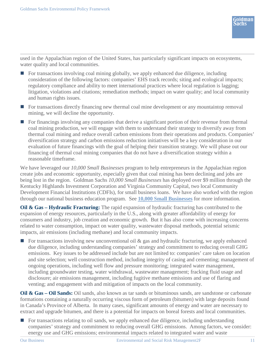used in the Appalachian region of the United States, has particularly significant impacts on ecosystems, water quality and local communities.

- For transactions involving coal mining globally, we apply enhanced due diligence, including consideration of the following factors: companies' EHS track records; siting and ecological impacts; regulatory compliance and ability to meet international practices where local regulation is lagging; litigation, violations and citations; remediation methods; impact on water quality; and local community and human rights issues.
- **For transactions directly financing new thermal coal mine development or any mountaintop removal** mining, we will decline the opportunity.
- **For financings involving any companies that derive a significant portion of their revenue from thermal** coal mining production, we will engage with them to understand their strategy to diversify away from thermal coal mining and reduce overall carbon emissions from their operations and products. Companies' diversification strategy and carbon emissions reduction initiatives will be a key consideration in our evaluation of future financings with the goal of helping their transition strategy. We will phase out our financing of thermal coal mining companies that do not have a diversification strategy within a reasonable timeframe.

We have leveraged our *10,000 Small Businesses* program to help entrepreneurs in the Appalachian region create jobs and economic opportunity, especially given that coal mining has been declining and jobs are being lost in the region. Goldman Sachs *10,000 Small Businesses* has deployed over \$9 million through the Kentucky Highlands Investment Corporation and Virginia Community Capital, two local Community Development Financial Institutions (CDFIs), for small business loans. We have also worked with the region through our national business education program. See **[10,000 Small Businesses](http://www.goldmansachs.com/citizenship/10000-small-businesses/US/index.html)** for more information.

**Oil & Gas – Hydraulic Fracturing:** The rapid expansion of hydraulic fracturing has contributed to the expansion of energy resources, particularly in the U.S., along with greater affordability of energy for consumers and industry, job creation and economic growth. But it has also come with increasing concerns related to water consumption, impact on water quality, wastewater disposal methods, potential seismic impacts, air emissions (including methane) and local community impacts.

For transactions involving new unconventional oil  $\&$  gas and hydraulic fracturing, we apply enhanced due diligence, including understanding companies' strategy and commitment to reducing overall GHG emissions. Key issues to be addressed include but are not limited to: companies' care taken on location and site selection; well construction method, including integrity of casing and cementing; management of ongoing operations, including well flow and pressure monitoring; integrated water management, including groundwater testing, water withdrawal, wastewater management; fracking fluid usage and disclosure; air emissions management, including fugitive methane emissions and use of flaring and venting; and engagement with and mitigation of impacts on the local community.

**Oil & Gas – Oil Sands:** Oil sands, also known as tar sands or bituminous sands, are sandstone or carbonate formations containing a naturally occurring viscous form of petroleum (bitumen) with large deposits found in Canada's Province of Alberta. In many cases, significant amounts of energy and water are necessary to extract and upgrade bitumen, and there is a potential for impacts on boreal forests and local communities.

 For transactions relating to oil sands, we apply enhanced due diligence, including understanding companies' strategy and commitment to reducing overall GHG emissions. Among factors, we consider: energy use and GHG emissions; environmental impacts related to integrated water and waste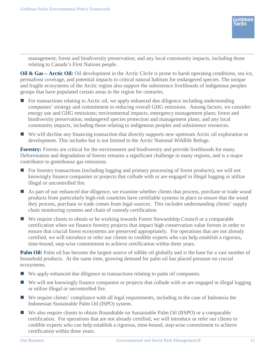management; forest and biodiversity preservation; and any local community impacts, including those relating to Canada's First Nations people.

**Oil & Gas – Arctic Oil:** Oil development in the Arctic Circle is prone to harsh operating conditions, sea ice, permafrost coverage, and potential impacts to critical natural habitats for endangered species. The unique and fragile ecosystems of the Arctic region also support the subsistence livelihoods of indigenous peoples groups that have populated certain areas in the region for centuries.

- For transactions relating to Arctic oil, we apply enhanced due diligence including understanding companies' strategy and commitment to reducing overall GHG emissions. Among factors, we consider: energy use and GHG emissions; environmental impacts; emergency management plans; forest and biodiversity preservation; endangered species protection and management plans; and any local community impacts, including those relating to indigenous peoples and subsistence resources.
- We will decline any financing transaction that directly supports new upstream Arctic oil exploration or development. This includes but is not limited to the Arctic National Wildlife Refuge.

**Forestry:** Forests are critical for the environment and biodiversity and provide livelihoods for many. Deforestation and degradation of forests remains a significant challenge in many regions, and is a major contributor to greenhouse gas emissions.

- For forestry transactions (including logging and primary processing of forest products), we will not knowingly finance companies or projects that collude with or are engaged in illegal logging or utilize illegal or uncontrolled fire.
- As part of our enhanced due diligence, we examine whether clients that process, purchase or trade wood products from particularly high-risk countries have certifiable systems in place to ensure that the wood they process, purchase or trade comes from legal sources. This includes understanding clients' supply chain monitoring systems and chain of custody certification.
- We require clients to obtain or be working towards Forest Stewardship Council or a comparable certification when we finance forestry projects that impact high conservation value forests in order to ensure that crucial forest ecosystems are preserved appropriately. For operations that are not already certified, we will introduce or refer our clients to credible experts who can help establish a rigorous, time-bound, step-wise commitment to achieve certification within three years.

**Palm Oil:** Palm oil has become the largest source of edible oil globally and is the base for a vast number of household products. At the same time, growing demand for palm oil has placed pressure on crucial ecosystems.

- We apply enhanced due diligence to transactions relating to palm oil companies.
- We will not knowingly finance companies or projects that collude with or are engaged in illegal logging or utilize illegal or uncontrolled fire.
- We require clients' compliance with all legal requirements, including in the case of Indonesia the Indonesian Sustainable Palm Oil (ISPO) system.
- We also require clients to obtain Roundtable on Sustainable Palm Oil (RSPO) or a comparable certification. For operations that are not already certified, we will introduce or refer our clients to credible experts who can help establish a rigorous, time-bound, step-wise commitment to achieve certification within three years.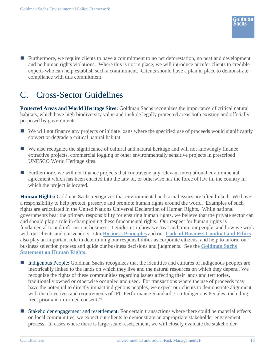**Furthermore, we require clients to have a commitment to no net deforestation, no peatland development** and no human rights violations. Where this is not in place, we will introduce or refer clients to credible experts who can help establish such a commitment. Clients should have a plan in place to demonstrate compliance with this commitment.

## <span id="page-14-0"></span>C. Cross-Sector Guidelines

**Protected Areas and World Heritage Sites:** Goldman Sachs recognizes the importance of critical natural habitats, which have high biodiversity value and include legally protected areas both existing and officially proposed by governments.

- We will not finance any projects or initiate loans where the specified use of proceeds would significantly convert or degrade a critical natural habitat.
- We also recognize the significance of cultural and natural heritage and will not knowingly finance extractive projects, commercial logging or other environmentally sensitive projects in prescribed UNESCO World Heritage sites.
- **Furthermore, we will not finance projects that contravene any relevant international environmental** agreement which has been enacted into the law of, or otherwise has the force of law in, the country in which the project is located.

**Human Rights:** Goldman Sachs recognizes that environmental and social issues are often linked. We have a responsibility to help protect, preserve and promote human rights around the world. Examples of such rights are articulated in the United Nations Universal Declaration of Human Rights. While national governments bear the primary responsibility for ensuring human rights, we believe that the private sector can and should play a role in championing these fundamental rights. Our respect for human rights is fundamental to and informs our business; it guides us in how we treat and train our people, and how we work with our clients and our vendors. Our **[Business Principles](http://www.goldmansachs.com/who-we-are/business-standards/business-principles/index.html)** and our **[Code of Business Conduct and Ethics](http://www.goldmansachs.com/investor-relations/corporate-governance/corporate-governance-documents/revise-code-of-conduct.pdf)** also play an important role in determining our responsibilities as corporate citizens, and help to inform our business selection process and guide our business decisions and judgments. See the **[Goldman Sachs](http://www.goldmansachs.com/investor-relations/corporate-governance/corporate-governance-documents/human-rights-statement.pdf)  [Statement on Human Rights](http://www.goldmansachs.com/investor-relations/corporate-governance/corporate-governance-documents/human-rights-statement.pdf)**.

- Indigenous People: Goldman Sachs recognizes that the identities and cultures of indigenous peoples are inextricably linked to the lands on which they live and the natural resources on which they depend. We recognize the rights of these communities regarding issues affecting their lands and territories, traditionally owned or otherwise occupied and used. For transactions where the use of proceeds may have the potential to directly impact indigenous peoples, we expect our clients to demonstrate alignment with the objectives and requirements of IFC Performance Standard 7 on Indigenous Peoples, including free, prior and informed consent.<sup>vi</sup>
- Stakeholder engagement and resettlement: For certain transactions where there could be material effects on local communities, we expect our clients to demonstrate an appropriate stakeholder engagement process. In cases where there is large-scale resettlement, we will closely evaluate the stakeholder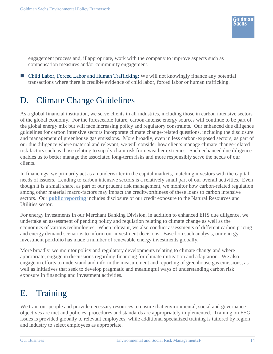engagement process and, if appropriate, work with the company to improve aspects such as compensation measures and/or community engagement.

■ Child Labor, Forced Labor and Human Trafficking: We will not knowingly finance any potential transactions where there is credible evidence of child labor, forced labor or human trafficking.

#### <span id="page-15-0"></span>D. Climate Change Guidelines

As a global financial institution, we serve clients in all industries, including those in carbon intensive sectors of the global economy. For the foreseeable future, carbon-intense energy sources will continue to be part of the global energy mix but will face increasing policy and regulatory constraints. Our enhanced due diligence guidelines for carbon intensive sectors incorporate climate change-related questions, including the disclosure and management of greenhouse gas emissions. More broadly, even in less carbon-exposed sectors, as part of our due diligence where material and relevant, we will consider how clients manage climate change-related risk factors such as those relating to supply chain risk from weather extremes. Such enhanced due diligence enables us to better manage the associated long-term risks and more responsibly serve the needs of our clients.

In financings, we primarily act as an underwriter in the capital markets, matching investors with the capital needs of issuers. Lending to carbon intensive sectors is a relatively small part of our overall activities. Even though it is a small share, as part of our prudent risk management, we monitor how carbon-related regulation among other material macro-factors may impact the creditworthiness of these loans to carbon intensive sectors. Our **[public reporting](http://www.goldmansachs.com/investor-relations/financials/index.html)** includes disclosure of our credit exposure to the Natural Resources and Utilities sector.

For energy investments in our Merchant Banking Division, in addition to enhanced EHS due diligence, we undertake an assessment of pending policy and regulation relating to climate change as well as the economics of various technologies. When relevant, we also conduct assessments of different carbon pricing and energy demand scenarios to inform our investment decisions. Based on such analysis, our energy investment portfolio has made a number of renewable energy investments globally.

More broadly, we monitor policy and regulatory developments relating to climate change and where appropriate, engage in discussions regarding financing for climate mitigation and adaptation. We also engage in efforts to understand and inform the measurement and reporting of greenhouse gas emissions, as well as initiatives that seek to develop pragmatic and meaningful ways of understanding carbon risk exposure in financing and investment activities.

#### <span id="page-15-1"></span>E. Training

We train our people and provide necessary resources to ensure that environmental, social and governance objectives are met and policies, procedures and standards are appropriately implemented. Training on ESG issues is provided globally to relevant employees, while additional specialized training is tailored by region and industry to select employees as appropriate.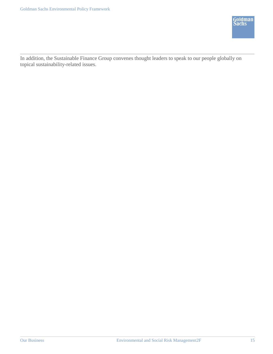In addition, the Sustainable Finance Group convenes thought leaders to speak to our people globally on topical sustainability-related issues.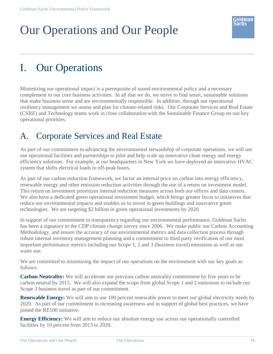# <span id="page-17-0"></span>Our Operations and Our People

## <span id="page-17-1"></span>I. Our Operations

Minimizing our operational impact is a prerequisite of sound environmental policy and a necessary complement to our core business activities. In all that we do, we strive to find smart, sustainable solutions that make business sense and are environmentally responsible. In addition, through our operational resiliency management we assess and plan for climate-related risks. Our Corporate Services and Real Estate (CSRE) and Technology teams work in close collaboration with the Sustainable Finance Group on our key operational priorities.

#### <span id="page-17-2"></span>A. Corporate Services and Real Estate

As part of our commitment to advancing the environmental stewardship of corporate operations, we will use our operational facilities and partnerships to pilot and help scale up innovative clean energy and energy efficiency solutions. For example, at our headquarters in New York we have deployed an innovative HVAC system that shifts electrical loads to off-peak hours.

As part of our carbon reduction framework, we factor an internal price on carbon into energy efficiency, renewable energy and other emission reduction activities through the use of a return on investment model. This return on investment prioritizes internal reduction measures across both our offices and data centers. We also have a dedicated green operational investment budget, which brings greater focus to initiatives that reduce our environmental impacts and enables us to invest in green buildings and innovative green technologies. We are targeting \$2 billion in green operational investments by 2020.

In support of our commitment to transparency regarding our environmental performance, Goldman Sachs has been a signatory to the CDP climate change survey since 2006. We make public our Carbon Accounting Methodology, and ensure the accuracy of our environmental metrics and data collection process through robust internal inventory management planning and a commitment to third party verification of our most important performance metrics including our Scope 1, 2 and 3 (business travel) emissions as well as our water use.

We are committed to minimizing the impact of our operations on the environment with our key goals as follows:

**Carbon Neutrality:** We will accelerate our previous carbon neutrality commitment by five years to be carbon neutral by 2015. We will also expand the scope from global Scope 1 and 2 emissions to include our Scope 3 business travel as part of our commitment.

**Renewable Energy:** We will aim to use 100 percent renewable power to meet our global electricity needs by 2020. As part of our commitment to increasing awareness and in support of global best practices, we have joined the RE100 initiative.

**Energy Efficiency:** We will aim to reduce our absolute energy use across our operationally controlled facilities by 10 percent from 2013 to 2020.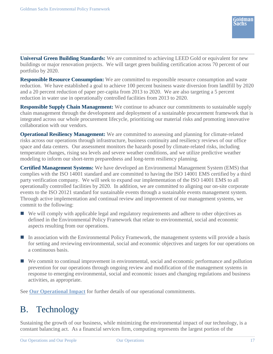**Universal Green Building Standards:** We are committed to achieving LEED Gold or equivalent for new buildings or major renovation projects. We will target green building certification across 70 percent of our portfolio by 2020.

**Responsible Resource Consumption:** We are committed to responsible resource consumption and waste reduction. We have established a goal to achieve 100 percent business waste diversion from landfill by 2020 and a 20 percent reduction of paper per-capita from 2013 to 2020. We are also targeting a 5 percent reduction in water use in operationally controlled facilities from 2013 to 2020.

**Responsible Supply Chain Management:** We continue to advance our commitments to sustainable supply chain management through the development and deployment of a sustainable procurement framework that is integrated across our whole procurement lifecycle, prioritizing our material risks and promoting innovative collaboration with our vendors.

**Operational Resiliency Management:** We are committed to assessing and planning for climate-related risks across our operations through infrastructure, business continuity and resiliency reviews of our office space and data centers. Our assessment monitors the hazards posed by climate-related risks, including temperature changes, rising sea levels and severe weather conditions, and we utilize predictive weather modeling to inform our short-term preparedness and long-term resiliency planning.

**Certified Management Systems:** We have developed an Environmental Management System (EMS) that complies with the ISO 14001 standard and are committed to having the ISO 14001 EMS certified by a third party verification company. We will seek to expand our implementation of the ISO 14001 EMS to all operationally controlled facilities by 2020. In addition, we are committed to aligning our on-site corporate events to the ISO 20121 standard for sustainable events through a sustainable events management system. Through active implementation and continual review and improvement of our management systems, we commit to the following:

- We will comply with applicable legal and regulatory requirements and adhere to other objectives as defined in the Environmental Policy Framework that relate to environmental, social and economic aspects resulting from our operations.
- In association with the Environmental Policy Framework, the management systems will provide a basis for setting and reviewing environmental, social and economic objectives and targets for our operations on a continuous basis.
- We commit to continual improvement in environmental, social and economic performance and pollution prevention for our operations through ongoing review and modification of the management systems in response to emerging environmental, social and economic issues and changing regulations and business activities, as appropriate.

See **Our Operational Impact** for further details of our operational commitments.

### <span id="page-18-0"></span>B. Technology

Sustaining the growth of our business, while minimizing the environmental impact of our technology, is a constant balancing act. As a financial services firm, computing represents the largest portion of the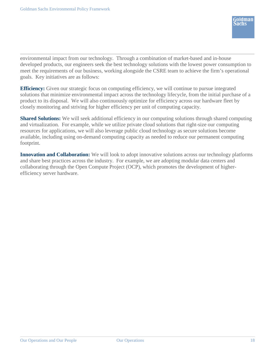environmental impact from our technology. Through a combination of market-based and in-house developed products, our engineers seek the best technology solutions with the lowest power consumption to meet the requirements of our business, working alongside the CSRE team to achieve the firm's operational goals. Key initiatives are as follows:

**Efficiency:** Given our strategic focus on computing efficiency, we will continue to pursue integrated solutions that minimize environmental impact across the technology lifecycle, from the initial purchase of a product to its disposal. We will also continuously optimize for efficiency across our hardware fleet by closely monitoring and striving for higher efficiency per unit of computing capacity.

**Shared Solutions:** We will seek additional efficiency in our computing solutions through shared computing and virtualization. For example, while we utilize private cloud solutions that right-size our computing resources for applications, we will also leverage public cloud technology as secure solutions become available, including using on-demand computing capacity as needed to reduce our permanent computing footprint.

**Innovation and Collaboration:** We will look to adopt innovative solutions across our technology platforms and share best practices across the industry. For example, we are adopting modular data centers and collaborating through the Open Compute Project (OCP), which promotes the development of higherefficiency server hardware.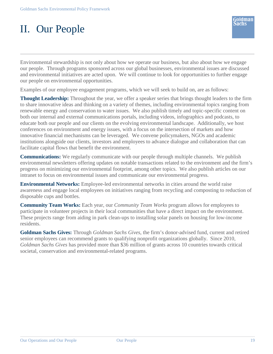# <span id="page-20-0"></span>II. Our People

Environmental stewardship is not only about how we operate our business, but also about how we engage our people. Through programs sponsored across our global businesses, environmental issues are discussed and environmental initiatives are acted upon. We will continue to look for opportunities to further engage our people on environmental opportunities.

Examples of our employee engagement programs, which we will seek to build on, are as follows:

**Thought Leadership:** Throughout the year, we offer a speaker series that brings thought leaders to the firm to share innovative ideas and thinking on a variety of themes, including environmental topics ranging from renewable energy and conservation to water issues. We also publish timely and topic-specific content on both our internal and external communications portals, including videos, infographics and podcasts, to educate both our people and our clients on the evolving environmental landscape. Additionally, we host conferences on environment and energy issues, with a focus on the intersection of markets and how innovative financial mechanisms can be leveraged. We convene policymakers, NGOs and academic institutions alongside our clients, investors and employees to advance dialogue and collaboration that can facilitate capital flows that benefit the environment.

**Communications:** We regularly communicate with our people through multiple channels. We publish environmental newsletters offering updates on notable transactions related to the environment and the firm's progress on minimizing our environmental footprint, among other topics. We also publish articles on our intranet to focus on environmental issues and communicate our environmental progress.

**Environmental Networks:** Employee-led environmental networks in cities around the world raise awareness and engage local employees on initiatives ranging from recycling and composting to reduction of disposable cups and bottles.

**Community Team Works:** Each year, our *Community Team Works* program allows for employees to participate in volunteer projects in their local communities that have a direct impact on the environment. These projects range from aiding in park clean-ups to installing solar panels on housing for low-income residents.

**Goldman Sachs Gives:** Through *Goldman Sachs Gives*, the firm's donor-advised fund, current and retired senior employees can recommend grants to qualifying nonprofit organizations globally. Since 2010, *Goldman Sachs Gives* has provided more than \$36 million of grants across 10 countries towards critical societal, conservation and environmental-related programs.